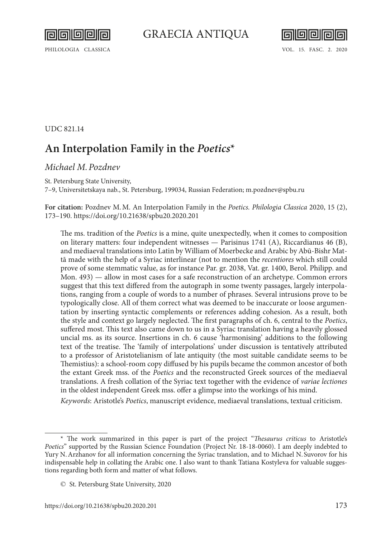॥न ralla



PHILOLOGIA CLASSICA VOL. 15. FASC. 2. 2020

UDC 821.14

## **An Interpolation Family in the** *Poetics***\***

## *Michael M.Pozdnev*

St. Petersburg State University,

7–9, Universitetskaya nab., St. Petersburg, 199034, Russian Federation; [m.pozdnev@spbu.ru](mailto:m.pozdnev%40spbu.ru?subject=)

**For citation:** Pozdnev M.M. An Interpolation Family in the *Poetics. Philologia Classica* 2020, 15 (2), 173–190.<https://doi.org/10.21638/spbu20.2020.201>

The ms. tradition of the *Poetics* is a mine, quite unexpectedly, when it comes to composition on literary matters: four independent witnesses — Parisinus 1741 (A), Riccardianus 46 (B), and mediaeval translations into Latin by William of Moerbecke and Arabic by Abū-Bishr Mattā made with the help of a Syriac interlinear (not to mention the *recentiores* which still could prove of some stemmatic value, as for instance Par. gr. 2038, Vat. gr. 1400, Berol. Philipp. and Mon. 493) — allow in most cases for a safe reconstruction of an archetype. Common errors suggest that this text differed from the autograph in some twenty passages, largely interpolations, ranging from a couple of words to a number of phrases. Several intrusions prove to be typologically close. All of them correct what was deemed to be inaccurate or loose argumentation by inserting syntactic complements or references adding cohesion. As a result, both the style and context go largely neglected. The first paragraphs of ch. 6, central to the *Poetics*, suffered most. This text also came down to us in a Syriac translation having a heavily glossed uncial ms. as its source. Insertions in ch. 6 cause 'harmonising' additions to the following text of the treatise. The 'family of interpolations' under discussion is tentatively attributed to a professor of Aristotelianism of late antiquity (the most suitable candidate seems to be Themistius): a school-room copy diffused by his pupils became the common ancestor of both the extant Greek mss. of the *Poetics* and the reconstructed Greek sources of the mediaeval translations. A fresh collation of the Syriac text together with the evidence of *variae lectiones* in the oldest independent Greek mss. offer a glimpse into the workings of his mind.

*Keywords*: Aristotle's *Poetics*, manuscript evidence, mediaeval translations, textual criticism.

<sup>\*</sup> The work summarized in this paper is part of the project "*Thesaurus criticus* to Aristotle's *Poetics*" supported by the Russian Science Foundation (Project Nr. 18-18-0060). I am deeply indebted to Yury N.Arzhanov for all information concerning the Syriac translation, and to Michael N. Suvorov for his indispensable help in collating the Arabic one. I also want to thank Tatiana Kostyleva for valuable suggestions regarding both form and matter of what follows.

<sup>©</sup> St. Petersburg State University, 2020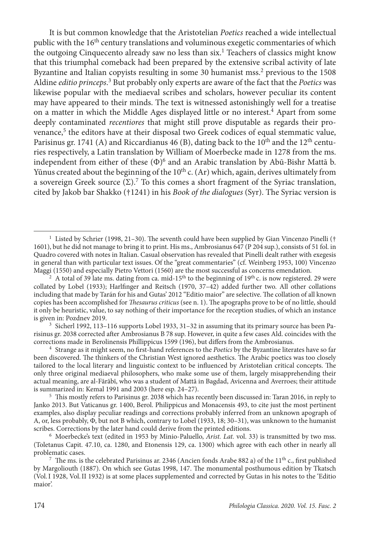It is but common knowledge that the Aristotelian *Poetics* reached a wide intellectual public with the  $16<sup>th</sup>$  century translations and voluminous exegetic commentaries of which the outgoing Cinquecento already saw no less than six.1 Teachers of classics might know that this triumphal comeback had been prepared by the extensive scribal activity of late Byzantine and Italian copyists resulting in some 30 humanist mss.<sup>2</sup> previous to the 1508 Aldine *editio princeps*. <sup>3</sup> But probably only experts are aware of the fact that the *Poetics* was likewise popular with the mediaeval scribes and scholars, however peculiar its content may have appeared to their minds. The text is witnessed astonishingly well for a treatise on a matter in which the Middle Ages displayed little or no interest.<sup>4</sup> Apart from some deeply contaminated *recentiores* that might still prove disputable as regards their provenance,<sup>5</sup> the editors have at their disposal two Greek codices of equal stemmatic value, Parisinus gr. 1741 (A) and Riccardianus 46 (B), dating back to the 10<sup>th</sup> and the 12<sup>th</sup> centuries respectively, a Latin translation by William of Moerbecke made in 1278 from the ms. independent from either of these (Φ)6 and an Arabic translation by Abū-Bishr Mattā b. Yūnus created about the beginning of the  $10<sup>th</sup>$  c. (Ar) which, again, derives ultimately from a sovereign Greek source  $(\Sigma)$ .<sup>7</sup> To this comes a short fragment of the Syriac translation, cited by Jakob bar Shakko (†1241) in his *Book of the dialogues* (Syr). The Syriac version is

<sup>3</sup> Sicherl 1992, 113–116 supports Lobel 1933, 31–32 in assuming that its primary source has been Parisinus gr. 2038 corrected after Ambrosianus B 78 sup. However, in quite a few cases Ald. coincides with the corrections made in Berolinensis Phillippicus 1599 (196), but differs from the Ambrosianus.

<sup>4</sup> Strange as it might seem, no first-hand references to the *Poetics* by the Byzantine literates have so far been discovered. The thinkers of the Christian West ignored aesthetics. The Arabic poetics was too closely tailored to the local literary and linguistic context to be influenced by Aristotelian critical concepts. The only three original mediaeval philosophers, who make some use of them, largely misapprehending their actual meaning, are al-Fārābī, who was a student of Mattā in Bagdad, Avicenna and Averroes; their attitude is summarized in: Kemal 1991 and 2003 (here esp. 24–27).<br><sup>5</sup> This mostly refers to Parisinus gr. 2038 which has recently been discussed in: Taran 2016, in reply to

Janko 2013. But Vaticanus gr. 1400, Berol. Philippicus and Monacensis 493, to cite just the most pertinent examples, also display peculiar readings and corrections probably inferred from an unknown apograph of A, or, less probably, Φ, but not B which, contrary to Lobel (1933, 18; 30–31), was unknown to the humanist scribes. Corrections by the later hand could derive from the printed editions.

<sup>6</sup> Moerbecke's text (edited in 1953 by Minio-Paluello, *Arist. Lat.* vol. 33) is transmitted by two mss. (Toletanus Capit. 47.10, ca. 1280, and Etonensis 129, ca. 1300) which agree with each other in nearly all problematic cases.

<sup>7</sup> The ms. is the celebrated Parisinus ar. 2346 (Ancien fonds Arabe 882 a) of the 11<sup>th</sup> c., first published by Margoliouth (1887). On which see Gutas 1998, 147. The monumental posthumous edition by Tkatsch (Vol.I 1928, Vol.II 1932) is at some places supplemented and corrected by Gutas in his notes to the 'Editio maior'.

<sup>&</sup>lt;sup>1</sup> Listed by Schrier (1998, 21–30). The seventh could have been supplied by Gian Vincenzo Pinelli († 1601), but he did not manage to bring it to print. His ms., Ambrosianus 647 (P 204 sup.), consists of 51 fol. in Quadro covered with notes in Italian. Casual observation has revealed that Pinelli dealt rather with exegesis in general than with particular text issues. Of the "great commentaries" (cf. Weinberg 1953, 100) Vincenzo Maggi (1550) and especially Pietro Vettori (1560) are the most successful as concerns emendation.

A total of 39 late ms. dating from ca. mid-15<sup>th</sup> to the beginning of  $19<sup>th</sup>$ c. is now registered. 29 were collated by Lobel (1933); Harlfinger and Reitsch (1970, 37–42) added further two. All other collations including that made by Tarán for his and Gutas' 2012 "Editio maior" are selective. The collation of all known copies has been accomplished for *Thesaurus criticus* (see n. 1). The apographs prove to be of no little, should it only be heuristic, value, to say nothing of their importance for the reception studies, of which an instance is given in: Pozdnev 2019.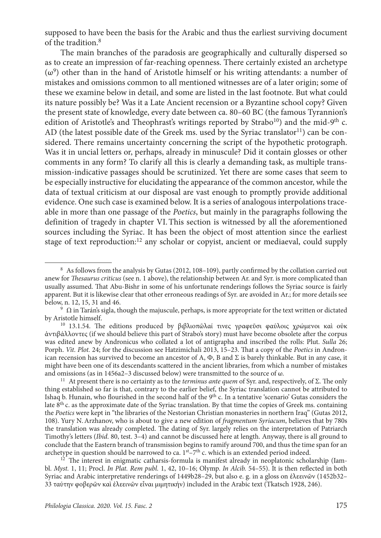supposed to have been the basis for the Arabic and thus the earliest surviving document of the tradition.8

The main branches of the paradosis are geographically and culturally dispersed so as to create an impression of far-reaching openness. There certainly existed an archetype  $(\omega^9)$  other than in the hand of Aristotle himself or his writing attendants: a number of mistakes and omissions common to all mentioned witnesses are of a later origin; some of these we examine below in detail, and some are listed in the last footnote. But what could its nature possibly be? Was it a Late Ancient recension or a Byzantine school copy? Given the present state of knowledge, every date between ca. 80–60 BC (the famous Tyrannion's edition of Aristotle's and Theophrast's writings reported by Strabo<sup>10</sup>) and the mid-9<sup>th</sup> c. AD (the latest possible date of the Greek ms. used by the Syriac translator $^{11}$ ) can be considered. There remains uncertainty concerning the script of the hypothetic protograph. Was it in uncial letters or, perhaps, already in minuscule? Did it contain glosses or other comments in any form? To clarify all this is clearly a demanding task, as multiple transmission-indicative passages should be scrutinized. Yet there are some cases that seem to be especially instructive for elucidating the appearance of the common ancestor, while the data of textual criticism at our disposal are vast enough to promptly provide additional evidence. One such case is examined below. It is a series of analogous interpolations traceable in more than one passage of the *Poetics*, but mainly in the paragraphs following the definition of tragedy in chapter VI.This section is witnessed by all the aforementioned sources including the Syriac. It has been the object of most attention since the earliest stage of text reproduction:<sup>12</sup> any scholar or copyist, ancient or mediaeval, could supply

<sup>8</sup> As follows from the analysis by Gutas (2012, 108–109), partly confirmed by the collation carried out anew for *Thesaurus criticus* (see n. 1 above), the relationship between Ar. and Syr. is more complicated than usually assumed. That Abu-Bishr in some of his unfortunate renderings follows the Syriac source is fairly apparent. But it is likewise clear that other erroneous readings of Syr. are avoided in Ar.; for more details see below, n. 12, 15, 31 and 46.

 $9 \Omega$  in Tarán's sigla, though the majuscule, perhaps, is more appropriate for the text written or dictated by Aristotle himself.

<sup>&</sup>lt;sup>10</sup> 13.1.54. The editions produced by βιβλιοπῶλαί τινες γραφεῦσι φαύλοις χρώμενοι καὶ οὐκ ἀντιβάλλοντες (if we should believe this part of Strabo's story) must have become obsolete after the corpus was edited anew by Andronicus who collated a lot of antigrapha and inscribed the rolls: Plut. *Sulla*  26; Porph. *Vit. Plot.* 24; for the discussion see Hatzimichali 2013, 15–23. That a copy of the *Poetics* in Andronican recension has survived to become an ancestor of A,  $\Phi$ , B and  $\Sigma$  is barely thinkable. But in any case, it might have been one of its descendants scattered in the ancient libraries, from which a number of mistakes and omissions (as in 1456a2–3 discussed below) were transmitted to the source of ω.

<sup>11</sup> At present there is no certainty as to the *terminus ante quem* of Syr. and, respectively, of Σ. The only thing established so far is that, contrary to the earlier belief, the Syriac translation cannot be attributed to Ishaq b. Hunain, who flourished in the second half of the 9<sup>th</sup> c. In a tentative 'scenario' Gutas considers the late 8th c. as the approximate date of the Syriac translation. By that time the copies of Greek ms. containing the *Poetics* were kept in "the libraries of the Nestorian Christian monasteries in northern Iraq" (Gutas 2012, 108). Yury N.Arzhanov, who is about to give a new edition of *fragmentum Syriacum*, believes that by 780s the translation was already completed. The dating of Syr. largely relies on the interpretation of Patriarch Timothy's letters (*Ibid*. 80, test. 3–4) and cannot be discussed here at length. Anyway, there is all ground to conclude that the Eastern branch of transmission begins to ramify around 700, and thus the time span for an archetype in question should be narrowed to ca.  $1<sup>st</sup> - 7<sup>th</sup>$  c. which is an extended period indeed.

 $12$  The interest in enigmatic catharsis-formula is manifest already in neoplatonic scholarship (Iambl. *Myst.* 1, 11; Procl. *In Plat. Rem publ.* 1, 42, 10–16; Olymp. *In Alcib.* 54–55). It is then reflected in both Syriac and Arabic interpretative renderings of 1449b28–29, but also e. g. in a gloss on ἐλεεινῶν (1452b32– 33 ταύτην φοβερῶν καὶ ἐλεεινῶν εἶναι μιμητικήν) included in the Arabic text (Tkatsch 1928, 246).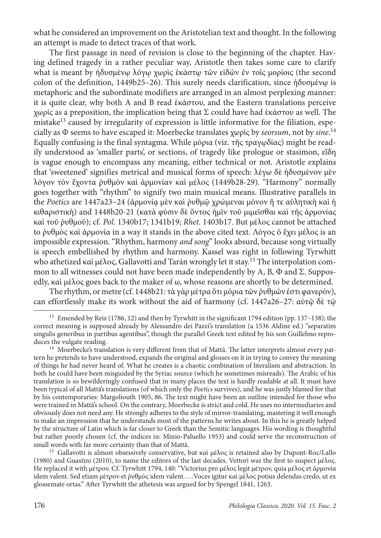what he considered an improvement on the Aristotelian text and thought. In the following an attempt is made to detect traces of that work.

The first passage in need of revision is close to the beginning of the chapter. Having defined tragedy in a rather peculiar way, Aristotle then takes some care to clarify what is meant by ἡδυσμένω λόγω χωρὶς ἑκάστω τῶν εἰδῶν ἐν τοῖς μορίοις (the second colon of the definition, 1449b25–26). This surely needs clarification, since ἡδυσμένῳ is metaphoric and the subordinate modifiers are arranged in an almost perplexing manner: it is quite clear, why both A and B read ἑκάστου, and the Eastern translations perceive χωρίς as a preposition, the implication being that Σ could have had ἑκάστου as well. The mistake<sup>13</sup> caused by irregularity of expression is little informative for the filiation, especially as Φ seems to have escaped it: Moerbecke translates χωρὶς by *seorsum*, not by *sine*. 14 Equally confusing is the final syntagma. While μόρια (viz. τῆς τραγῳδίας) might be readily understood as 'smaller parts', or sections, of tragedy like prologue or stasimon, εἴδη is vague enough to encompass any meaning, either technical or not. Aristotle explains that 'sweetened' signifies metrical and musical forms of speech: λέγω δὲ ἡδυσμένον μὲν λόγον τὸν ἔχοντα ῥυθμὸν καὶ ἁρμονίαν καὶ μέλος (1449b28-29). "Harmony" normally goes together with "rhythm" to signify two main musical means. Illustrative parallels in the *Poetics* are 1447a23–24 (ἁρμονίᾳ μὲν καὶ ῥυθμῷ χρώμεναι μόνον ἥ τε αὐλητικὴ καὶ ἡ κιθαριστικὴ) and 1448b20-21 (κατὰ φύσιν δὲ ὄντος ἡμῖν τοῦ μιμεῖσθαι καὶ τῆς ἁρμονίας καὶ τοῦ ῥυθμοῦ); cf. *Pol.* 1340b17; 1341b19; *Rhet.* 1403b17. But μέλος cannot be attached to ῥυθμὸς καὶ ἁρμονία in a way it stands in the above cited text. Λόγος ὁ ἔχει μέλος is an impossible expression. "Rhythm, harmony *and song*" looks absurd, because song virtually is speech embellished by rhythm and harmony. Kassel was right in following Tyrwhitt who athetized καὶ μέλος, Gallavotti and Tarán wrongly let it stay.15 The interpolation common to all witnesses could not have been made independently by A, B,  $\Phi$  and  $\Sigma$ . Supposedly, καὶ μέλος goes back to the maker of ω, whose reasons are shortly to be determined.

The rhythm, or metre (cf. 1448b21: τὰ γὰρ μέτρα ὅτι μόρια τῶν ῥυθμῶν ἐστι φανερὸν), can effortlessly make its work without the aid of harmony (cf. 1447a26–27: αὐτῷ δὲ τῷ

<sup>15</sup> Gallavotti is almost obsessively conservative, but καὶ μέλος is retained also by Dupont-Roc/Lallo (1980) and Guastini (2010), to name the editors of the last decades. Vettori was the first to suspect μέλος. Ηe replaced it with μέτρον. Cf. Tyrwhitt 1794, 140: "Victorius pro μέλος legit μέτρον, quia μέλος et ἁρμονία idem valent. Sed etiam μέτρον et ῥυθμός idem valent. …Voces igitur καὶ μέλος potius delendas credo, ut ex glossemate ortas." After Tyrwhitt the athetesis was argued for by Spengel 1841, 1263.

<sup>13</sup> Emended by Reiz (1786, 12) and then by Tyrwhitt in the significant 1794 edition (pp. 137–138); the correct meaning is supposed already by Alessandro dei Pazzi's translation (a 1536 Aldine ed.) "separatim singulis generibus in partibus agentibus", though the parallel Greek text edited by his son Guillelmo reproduces the vulgate reading.

 $14$  Moerbecke's translation is very different from that of Mattā. The latter interprets almost every pattern he pretends to have understood, expands the original and glosses on it in trying to convey the meaning of things he had never heard of. What he creates is a chaotic combination of literalism and abstraction. In both he could have been misguided by the Syriac source (which he sometimes misreads). The Arabic of his translation is so bewilderingly confused that in many places the text is hardly readable at all. It must have been typical of all Mattā's translations (of which only the *Poetics* survives), and he was justly blamed for that by his contemporaries: Margoliouth 1905, 86. The text might have been an outline intended for those who were trained in Mattā's school. On the contrary, Moerbecke is strict and cold. He uses no intermediaries and obviously does not need any. He strongly adheres to the style of mirror-translating, mastering it well enough to make an impression that he understands most of the patterns he writes about. In this he is greatly helped by the structure of Latin which is far closer to Greek than the Semitic languages. Нis wording is thoughtful but rather poorly chosen (cf. the indices in: Minio-Paluello 1953) and could serve the reconstruction of small words with far more certainty than that of Mattā.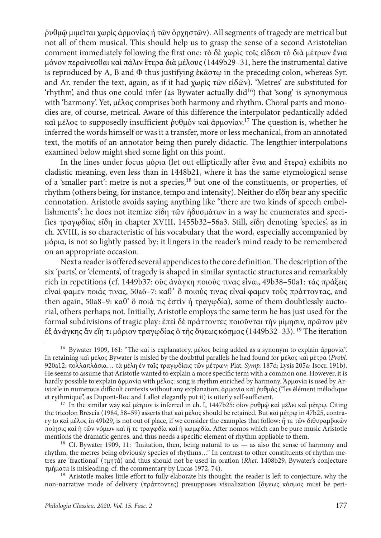ῥυθμῷ μιμεῖται χωρὶς ἁρμονίας ἡ τῶν ὀρχηστῶν). All segments of tragedy are metrical but not all of them musical. This should help us to grasp the sense of a second Aristotelian comment immediately following the first one: τὸ δὲ χωρὶς τοῖς εἴδεσι τὸ διὰ μέτρων ἔνια μόνον περαίνεσθαι καὶ πάλιν ἕτερα διὰ μέλους (1449b29–31, here the instrumental dative is reproduced by Α, Β and Φ thus justifying ἑκάστῳ in the preceding colon, whereas Syr. and Ar. render the text, again, as if it had χωρὶς τῶν εἰδῶν). 'Metres' are substituted for 'rhythm', and thus one could infer (as Bywater actually  $\text{did}^{16}$ ) that 'song' is synonymous with 'harmony'. Yet, μέλος comprises both harmony and rhythm. Choral parts and monodies are, of course, metrical. Aware of this difference the interpolator pedantically added καὶ μέλος to supposedly insufficient ῥυθμὸν καὶ ἁρμονίαν. 17 The question is, whether he inferred the words himself or was it a transfer, more or less mechanical, from an annotated text, the motifs of an annotator being then purely didactic. The lengthier interpolations examined below might shed some light on this point.

In the lines under focus μόρια (let out elliptically after ἔνια and ἕτερα) exhibits no cladistic meaning, even less than in 1448b21, where it has the same etymological sense of a 'smaller part': metre is not a species,<sup>18</sup> but one of the constituents, or properties, of rhythm (others being, for instance, tempo and intensity). Neither do εἴδη bear any specific connotation. Aristotle avoids saying anything like "there are two kinds of speech embellishments"; he does not itemize εἴδη τῶν ἡδυσμάτων in a way he enumerates and specifies τραγῳδίας εἴδη in chapter XVIII, 1455b32–56a3. Still, εἴδη denoting 'species', as in ch. XVIII, is so characteristic of his vocabulary that the word, especially accompanied by μόρια, is not so lightly passed by: it lingers in the reader's mind ready to be remembered on an appropriate occasion.

Next a reader is offered several appendices to the core definition. The description of the six 'parts', or 'elements', of tragedy is shaped in similar syntactic structures and remarkably rich in repetitions (cf. 1449b37: οὓς ἀνάγκη ποιούς τινας εἶναι, 49b38–50a1: τὰς πράξεις εἶναί φαμεν ποιάς τινας, 50a6–7: καθ᾽ ὃ ποιούς τινας εἶναί φαμεν τοὺς πράττοντας, and then again, 50a8–9: καθ' ὃ ποιά τις ἐστὶν ἡ τραγῳδία), some of them doubtlessly auctorial, others perhaps not. Initially, Aristotle employs the same term he has just used for the formal subdivisions of tragic play: ἐπεὶ δὲ πράττοντες ποιοῦνται τὴν μίμησιν, πρῶτον μὲν ἐξ ἀνάγκης ἂν εἴη τι μόριον τραγῳδίας ὁ τῆς ὄψεως κόσμος (1449b32–33). 19 The iteration

<sup>16</sup> Bywater 1909, 161: "The καί is explanatory, μέλος being added as a synonym to explain ἁρμονία". In retaining καὶ μέλος Bywater is misled by the doubtful parallels he had found for μέλος καὶ μέτρα (*Probl*. 920a12: πολλαπλάσια… τὰ μέλη ἐν ταῖς τραγῳδίαις τῶν μέτρων; Plat. *Symp.* 187d; Lysis 205a; Isocr. 191b). He seems to assume that Aristotle wanted to explain a more specific term with a common one. However, it is hardly possible to explain άρμονία with μέλος: song is rhythm enriched by harmony. Άρμονία is used by Aristotle in numerous difficult contexts without any explanation; ἁρμονία καὶ ῥυθμός ("les élément mélodique et rythmique", as Dupont-Roc and Lallot elegantly put it) is utterly self-sufficient.

<sup>17</sup> In the similar way καὶ μέτρον is inferred in ch. I, 1447b25: οἷον ῥυθμῷ καὶ μέλει καὶ μέτρῳ. Citing the tricolon Brescia (1984, 58–59) asserts that καὶ μέλος should be retained. But καὶ μέτρῳ in 47b25, contrary to καὶ μέλος in 49b29, is not out of place, if we consider the examples that follow: ἥ τε τῶν διθυραμβικῶν ποίησις καὶ ἡ τῶν νόμων καὶ ἥ τε τραγῳδία καὶ ἡ κωμῳδία. After nomos which can be pure music Aristotle mentions the dramatic genres, and thus needs a specific element of rhythm appliable to them.

<sup>&</sup>lt;sup>18</sup> Cf. Bywater 1909, 11: "Imitation, then, being natural to us — as also the sense of harmony and rhythm, the metres being obviously species of rhythms…" In contrast to other constituents of rhythm metres are 'fractional' (τμητά) and thus should not be used in oration (*Rhet.* 1408b29, Bywater's conjecture τμήματα is misleading; cf. the commentary by Lucas 1972, 74).

<sup>&</sup>lt;sup>19</sup> Aristotle makes little effort to fully elaborate his thought: the reader is left to conjecture, why the non-narrative mode of delivery (πράττοντες) presupposes visualization (ὄψεως κόσμος must be peri-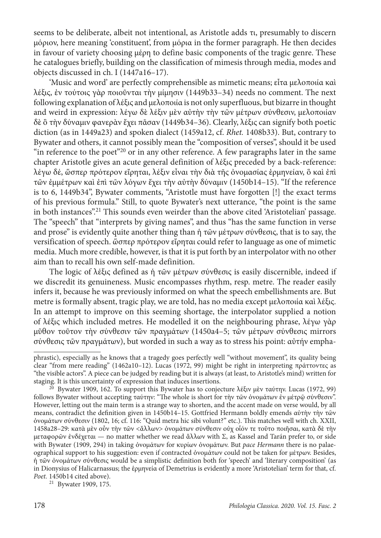seems to be deliberate, albeit not intentional, as Aristotle adds τι, presumably to discern μόριον, here meaning 'constituent', from μόρια in the former paragraph. He then decides in favour of variety choosing μέρη to define basic components of the tragic genre. These he catalogues briefly, building on the classification of mimesis through media, modes and objects discussed in ch. I (1447a16–17).

'Music and word' are perfectly comprehensible as mimetic means; εἶτα μελοποιία καὶ λέξις, ἐν τούτοις γὰρ ποιοῦνται τὴν μίμησιν (1449b33–34) needs no comment. The next following explanation of λέξις and μελοποιία is not only superfluous, but bizarre in thought and weird in expression: λέγω δὲ λέξιν μὲν αὐτὴν τὴν τῶν μέτρων σύνθεσιν, μελοποιίαν δὲ ὃ τὴν δύναμιν φανερὰν ἔχει πᾶσαν (1449b34–36). Clearly, λέξις can signify both poetic diction (as in 1449a23) and spoken dialect (1459a12, cf. *Rhet.* 1408b33). But, contrary to Bywater and others, it cannot possibly mean the "composition of verses", should it be used "in reference to the poet"<sup>20</sup> or in any other reference. A few paragraphs later in the same chapter Aristotle gives an acute general definition of λέξις preceded by a back-reference: λέγω δέ, ὥσπερ πρότερον εἴρηται, λέξιν εἶναι τὴν διὰ τῆς ὀνομασίας ἑρμηνείαν, ὃ καὶ ἐπὶ τῶν ἐμμέτρων καὶ ἐπὶ τῶν λόγων ἔχει τὴν αὐτὴν δύναμιν (1450b14–15). "If the reference is to 6, 1449b34", Bywater comments, "Aristotle must have forgotten [!] the exact terms of his previous formula." Still, to quote Bywater's next utterance, "the point is the same in both instances".21 This sounds even weirder than the above cited 'Aristotelian' passage. The "speech" that "interprets by giving names", and thus "has the same function in verse and prose" is evidently quite another thing than ἡ τῶν μέτρων σύνθεσις, that is to say, the versification of speech. ὥσπερ πρότερον εἴρηται could refer to language as one of mimetic media. Much more credible, however, is that it is put forth by an interpolator with no other aim than to recall his own self-made definition.

The logic of λέξις defined as ἡ τῶν μέτρων σύνθεσις is easily discernible, indeed if we discredit its genuineness. Music encompasses rhythm, resp. metre. The reader easily infers it, because he was previously informed on what the speech embellishments are. But metre is formally absent, tragic play, we are told, has no media except μελοποιία καὶ λέξις. In an attempt to improve on this seeming shortage, the interpolator supplied a notion of λέξις which included metres. He modelled it on the neighbouring phrase, λέγω γὰρ μῦθον τοῦτον τὴν σύνθεσιν τῶν πραγμάτων (1450a4–5; τῶν μέτρων σύνθεσις mirrors σύνθεσις τῶν πραγμάτων), but worded in such a way as to stress his point: αὐτήν empha-

<sup>21</sup> Bywater 1909, 175.

phrastic), especially as he knows that a tragedy goes perfectly well "without movement", its quality being clear "from mere reading" (1462a10–12). Lucas (1972, 99) might be right in interpreting πράττοντες as "the visible actors". A piece can be judged by reading but it is always (at least, to Aristotle's mind) written for staging. It is this uncertainty of expression that induces insertions.

<sup>&</sup>lt;sup>20</sup> Bywater 1909, 162. To support this Bywater has to conjecture λέξιν μὲν ταύτην. Lucas (1972, 99) follows Bywater without accepting ταύτην: "The whole is short for τὴν τῶν ὀνομάτων ἐν μέτρῷ σύνθεσιν". However, letting out the main term is a strange way to shorten, and the accent made on verse would, by all means, contradict the definition given in 1450b14–15. Gottfried Hermann boldly emends αὐτὴν τὴν τῶν ὀνομάτων σύνθεσιν (1802, 16; cf. 116: "Quid metra hic sibi volunt?" etc.). This matches well with ch. XXII, 1458a28–29: κατὰ μὲν οὖν τὴν τῶν <ἄλλων> ὀνομάτων σύνθεσιν οὐχ οἷόν τε τοῦτο ποιῆσαι, κατὰ δὲ τὴν μεταφορῶν ἐνδέχεται — no matter whether we read ἄλλων with Σ, as Kassel and Tarán prefer to, or side with Bywater (1909, 294) in taking ὀνομάτων for κυρίων ὀνομάτων. But *pace Hermann* there is no palaeographical support to his suggestion: even if contracted ὀνομάτων could not be taken for μέτρων. Besides, ἡ τῶν ὀνομάτων σύνθεσις would be a simplistic definition both for 'speech' and 'literary composition' (as in Dionysius of Halicarnassus; the ἑρμηνεία of Demetrius is evidently a more 'Aristotelian' term for that, cf. Poet. 1450b14 cited above).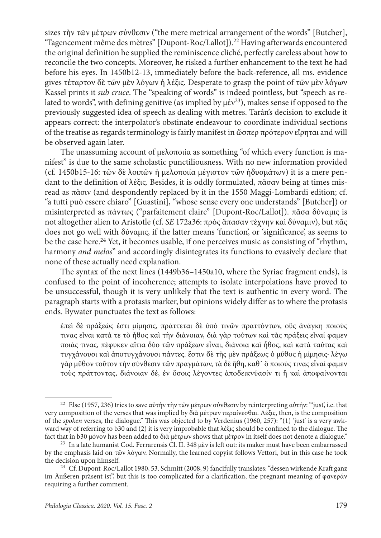sizes τὴν τῶν μέτρων σύνθεσιν ("the mere metrical arrangement of the words" [Butcher], "l'agencement même des mètres" [Dupont-Roc/Lallot]).22 Having afterwards encountered the original definition he supplied the reminiscence cliché, perfectly careless about how to reconcile the two concepts. Moreover, he risked a further enhancement to the text he had before his eyes. In 1450b12-13, immediately before the back-reference, all ms. evidence gives τέταρτον δὲ τῶν μὲν λόγων ἡ λέξις. Desperate to grasp the point of τῶν μὲν λόγων Kassel prints it *sub cruce*. The "speaking of words" is indeed pointless, but "speech as related to words", with defining genitive (as implied by  $\mu \text{eV}^{23}$ ), makes sense if opposed to the previously suggested idea of speech as dealing with metres. Tarán's decision to exclude it appears correct: the interpolator's obstinate endeavour to coordinate individual sections of the treatise as regards terminology is fairly manifest in ὥσπερ πρότερον εἴρηται and will be observed again later.

The unassuming account of μελοποιία as something "of which every function is manifest" is due to the same scholastic punctiliousness. With no new information provided (cf. 1450b15-16: τῶν δὲ λοιπῶν ἡ μελοποιία μέγιστον τῶν ἡδυσμάτων) it is a mere pendant to the definition of λέξις. Besides, it is oddly formulated, πᾶσαν being at times misread as πᾶσιν (and despondently replaced by it in the 1550 Maggi-Lombardi edition; cf. "a tutti può essere chiaro" [Guastini], "whose sense every one understands" [Butcher]) or misinterpreted as πάντως ("parfaitement claire" [Dupont-Roc/Lallot]). πᾶσα δύναμις is not altogether alien to Aristotle (cf. *SE* 172a36: πρὸς ἅπασαν τέχνην καὶ δύναμιν), but πᾶς does not go well with δύναμις, if the latter means 'function', or 'significance', as seems to be the case here.24 Yet, it becomes usable, if one perceives music as consisting of "rhythm, harmony *and melos*" and accordingly disintegrates its functions to evasively declare that none of these actually need explanation.

The syntax of the next lines (1449b36–1450a10, where the Syriac fragment ends), is confused to the point of incoherence; attempts to isolate interpolations have proved to be unsuccessful, though it is very unlikely that the text is authentic in every word. The paragraph starts with a protasis marker, but opinions widely differ as to where the protasis ends. Bywater punctuates the text as follows:

ἐπεὶ δὲ πράξεώς ἐστι μίμησις, πράττεται δὲ ὑπὸ τινῶν πραττόντων, οὓς ἀνάγκη ποιούς τινας εἶναι κατά τε τὸ ἦθος καὶ τὴν διάνοιαν, διὰ γὰρ τούτων καὶ τὰς πράξεις εἶναί φαμεν ποιάς τινας, πέφυκεν αἴτια δύο τῶν πράξεων εἶναι, διάνοια καὶ ἦθος, καὶ κατὰ ταύτας καὶ τυγχάνουσι καὶ ἀποτυγχάνουσι πάντες. ἔστιν δὲ τῆς μὲν πράξεως ὁ μῦθος ἡ μίμησις· λέγω γὰρ μῦθον τοῦτον τὴν σύνθεσιν τῶν πραγμάτων, τὰ δὲ ἤθη, καθ᾽ ὃ ποιούς τινας εἶναί φαμεν τοὺς πράττοντας, διάνοιαν δέ, ἐν ὅσοις λέγοντες ἀποδεικνύασίν τι ἢ καὶ ἀποφαίνονται

<sup>22</sup> Else (1957, 236) tries to save αὐτὴν τὴν τῶν μέτρων σύνθεσιν by reinterpreting αὐτήν: "'just', i.e. that very composition of the verses that was implied by διὰ μέτρων περαίνεσθαι. Λέξις, then, is the composition of the *spoken* verses, the dialogue." This was objected to by Verdenius (1960, 257): "(1) 'just' is a very awkward way of referring to b30 and (2) it is very improbable that λέξις should be confined to the dialogue. The fact that in b30 μόνον has been added to διὰ μέτρων shows that μέτρον in itself does not denote a dialogue."

<sup>23</sup> In a late humanist Cod. Ferrarensis Cl. II. 348 μὲν is left out: its maker must have been embarrassed by the emphasis laid on τῶν λόγων. Normally, the learned copyist follows Vettori, but in this case he took the decision upon himself.

<sup>24</sup> Cf. Dupont-Roc/Lallot 1980, 53. Schmitt (2008, 9) fancifully translates: "dessen wirkende Kraft ganz im Äußeren präsent ist", but this is too complicated for a clarification, the pregnant meaning of φανεράν requiring a further comment.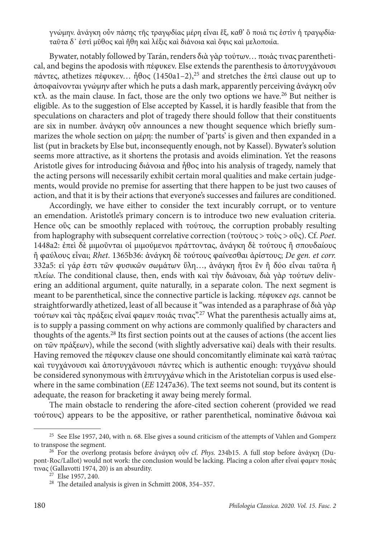γνώμην. ἀνάγκη οὖν πάσης τῆς τραγῳδίας μέρη εἶναι ἕξ, καθ' ὃ ποιά τις ἐστὶν ἡ τραγῳδία· ταῦτα δ᾽ ἐστὶ μῦθος καὶ ἤθη καὶ λέξις καὶ διάνοια καὶ ὄψις καὶ μελοποιία.

Bywater, notably followed by Tarán, renders διὰ γὰρ τούτων… ποιάς τινας parenthetical, and begins the apodosis with πέφυκεν. Else extends the parenthesis to ἀποτυγχάνουσι πάντες, athetizes πέφυκεν… ἦθος (1450a1–2),25 and stretches the ἐπεὶ clause out up to ἀποφαίνονται γνώμην after which he puts a dash mark, apparently perceiving ἀνάγκη οὖν κτλ*.* as the main clause. In fact, those are the only two options we have.26 But neither is eligible. As to the suggestion of Else accepted by Kassel, it is hardly feasible that from the speculations on characters and plot of tragedy there should follow that their constituents are six in number. ἀνάγκη οὖν announces a new thought sequence which briefly summarizes the whole section on μέρη: the number of 'parts' is given and then expanded in a list (put in brackets by Else but, inconsequently enough, not by Kassel). Bywater's solution seems more attractive, as it shortens the protasis and avoids elimination. Yet the reasons Aristotle gives for introducing διάνοια and ἦθος into his analysis of tragedy, namely that the acting persons will necessarily exhibit certain moral qualities and make certain judgements, would provide no premise for asserting that there happen to be just two causes of action, and that it is by their actions that everyone's successes and failures are conditioned.

Accordingly, we have either to consider the text incurably corrupt, or to venture an emendation. Aristotle's primary concern is to introduce two new evaluation criteria. Hence οὓς can be smoothly replaced with τούτους, the corruption probably resulting from haplography with subsequent correlative correction (τούτους > τοὺς > οὓς). Cf. *Poet*. 1448a2: ἐπεὶ δὲ μιμοῦνται οἱ μιμούμενοι πράττοντας, ἀνάγκη δὲ τούτους ἢ σπουδαίους ἢ φαύλους εἶναι; *Rhet*. 1365b36: ἀνάγκη δὲ τούτους φαίνεσθαι ἀρίστους; *De gen. et corr.* 332a5: εἰ γάρ ἐστι τῶν φυσικῶν σωμάτων ὕλη…, ἀνάγκη ἤτοι ἓν ἢ δύο εἶναι ταῦτα ἢ πλείω. The conditional clause, then, ends with καὶ τὴν διάνοιαν, διὰ γὰρ τούτων delivering an additional argument, quite naturally, in a separate colon. The next segment is meant to be parenthetical, since the connective particle is lacking. πέφυκεν *eqs*. cannot be straightforwardly athetized, least of all because it "was intended as a paraphrase of διὰ γὰρ τούτων καὶ τὰς πράξεις εἶναί φαμεν ποιάς τινας".27 What the parenthesis actually aims at, is to supply a passing comment on why actions are commonly qualified by characters and thoughts of the agents.28 Its first section points out at the causes of actions (the accent lies on τῶν πράξεων), while the second (with slightly adversative καί) deals with their results. Having removed the πέφυκεν clause one should concomitantly eliminate καὶ κατὰ ταύτας καὶ τυγχάνουσι καὶ ἀποτυγχάνουσι πάντες which is authentic enough: τυγχάνω should be considered synonymous with ἐπιτυγχάνω which in the Aristotelian corpus is used elsewhere in the same combination (*EE* 1247a36). The text seems not sound, but its content is adequate, the reason for bracketing it away being merely formal.

The main obstacle to rendering the afore-cited section coherent (provided we read τούτους) appears to be the appositive, or rather parenthetical, nominative διάνοια καὶ

<sup>&</sup>lt;sup>25</sup> See Else 1957, 240, with n. 68. Else gives a sound criticism of the attempts of Vahlen and Gomperz to transpose the segment.

<sup>26</sup> For the overlong protasis before ἀνάγκη οὖν cf. *Phys.* 234b15. A full stop before ἀνάγκη (Dupont-Roc/Lallot) would not work: the conclusion would be lacking. Placing a colon after εἶναί φαμεν ποιάς τινας (Gallavotti 1974, 20) is an absurdity.

<sup>27</sup> Else 1957, 240.

<sup>28</sup> The detailed analysis is given in Schmitt 2008, 354–357.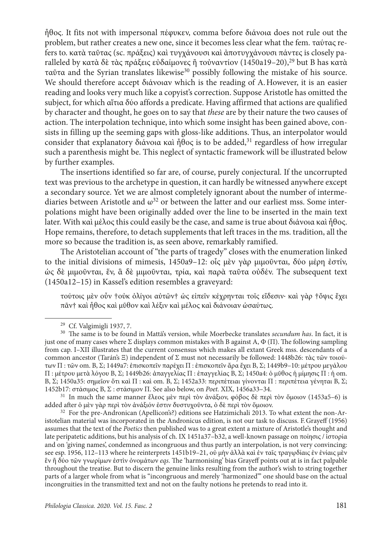ἦθος. It fits not with impersonal πέφυκεν, comma before διάνοια does not rule out the problem, but rather creates a new one, since it becomes less clear what the fem. ταύτας refers to. κατὰ ταῦτας (sc. πράξεις) καὶ τυγχάνουσι καὶ ἀποτυγχάνουσι πάντες is closely paralleled by κατὰ δὲ τὰς πράξεις εὐδαίμονες ἢ τοὐναντίον (1450a19–20),<sup>29</sup> but B has κατὰ ταῦτα and the Syrian translates likewise30 possibly following the mistake of his source. We should therefore accept διάνοιαν which is the reading of A.However, it is an easier reading and looks very much like a copyist's correction. Suppose Aristotle has omitted the subject, for which αἴτια δύο affords a predicate. Having affirmed that actions are qualified by character and thought, he goes on to say that *these* are by their nature the two causes of action. The interpolation technique, into which some insight has been gained above, consists in filling up the seeming gaps with gloss-like additions. Thus, an interpolator would consider that explanatory διάνοια καὶ ἦθος is to be added,<sup>31</sup> regardless of how irregular such a parenthesis might be. This neglect of syntactic framework will be illustrated below by further examples.

The insertions identified so far are, of course, purely conjectural. If the uncorrupted text was previous to the archetype in question, it can hardly be witnessed anywhere except a secondary source. Yet we are almost completely ignorant about the number of intermediaries between Aristotle and  $\omega^{32}$  or between the latter and our earliest mss. Some interpolations might have been originally added over the line to be inserted in the main text later. With καὶ μέλος this could easily be the case, and same is true about διάνοια καὶ ἦθος. Hope remains, therefore, to detach supplements that left traces in the ms. tradition, all the more so because the tradition is, as seen above, remarkably ramified.

The Aristotelian account of "the parts of tragedy" closes with the enumeration linked to the initial divisions of mimesis, 1450a9–12: οἷς μὲν γὰρ μιμοῦνται, δύο μέρη ἐστίν, ὡς δὲ μιμοῦνται, ἕν, ἃ δὲ μιμοῦνται, τρία, καὶ παρὰ ταῦτα οὐδέν. The subsequent text (1450a12–15) in Kassel's edition resembles a graveyard:

τούτοις μὲν οὖν †οὐκ ὀλίγοι αὐτῶν† ὡς εἰπεῖν κέχρηνται τοῖς εἴδεσιν· καὶ γὰρ †ὄψις ἔχει πᾶν† καὶ ἦθος καὶ μῦθον καὶ λέξιν καὶ μέλος καὶ διάνοιαν ὡσαύτως.

<sup>31</sup> In much the same manner ἔλεος μὲν περὶ τὸν ἀνάξιον, φόβος δὲ περὶ τὸν ὅμοιον (1453a5–6) is added after ὁ μὲν γὰρ περὶ τὸν ἀνάξιόν ἐστιν δυστυχοῦντα, ὁ δὲ περὶ τὸν ὅμοιον.

<sup>32</sup> For the pre-Andronican (Apellicon's?) editions see Hatzimichali 2013. To what extent the non-Aristotelian material was incorporated in the Andronicus edition, is not our task to discuss. F.Grayeff (1956) assumes that the text of the *Poetics* then published was to a great extent a mixture of Aristotle's thought and late peripatetic additions, but his analysis of ch. IX 1451a37–b32, a well-known passage on ποίησις / ἱστορία and on 'giving names', condemned as incongruous and thus partly an interpolation, is not very convincing: see esp. 1956, 112–113 where he reinterprets 1451b19–21, οὐ μὴν ἀλλὰ καὶ ἐν ταῖς τραγῳδίαις ἐν ἐνίαις μὲν ἓν ἢ δύο τῶν γνωρίμων ἐστὶν ὀνομάτων *eqs*. The 'harmonising' bias Grayeff points out at is in fact palpable throughout the treatise. But to discern the genuine links resulting from the author's wish to string together parts of a larger whole from what is "incongruous and merely 'harmonized'" one should base on the actual incongruities in the transmitted text and not on the faulty notions he pretends to read into it.

<sup>29</sup> Cf. Valgimigli 1937, 7.

<sup>30</sup> The same is to be found in Mattā's version, while Moerbecke translates *secundum has*. In fact, it is just one of many cases where  $\Sigma$  displays common mistakes with B against A,  $\Phi$  ( $\Pi$ ). The following sampling from cap. I–XII illustrates that the current consensus which makes all extant Greek mss. descendants of a common ancestor (Tarán's Ξ) independent of Σ must not necessarily be followed: 1448b26: τὰς τῶν τοιούτων Π : τῶν om. B, Σ; 1449a7: ἐπισκοπεῖν παρέχει Π : ἐπισκοπεῖν ἄρα ἔχει B, Σ; 1449b9–10: μέτρου μεγάλου Π : μέτρου μετὰ λόγου B, Σ; 1449b26: ἀπαγγελίας Π : ἐπαγγελίας B, Σ; 1450a4: ὁ μῦθος ἡ μίμησις Π : ἡ om. B, Σ; 1450a35: σημεῖον ὅτι καὶ Π : καὶ om. B, Σ; 1452a33: περιπέτειαι γίνoνται Π : περιπέτεια γένηται B, Σ; 1452b17: στάσιμος B, Σ : στάσιμον Π. See also below, on *Poet.* ΧΙΧ, 1456a33–34.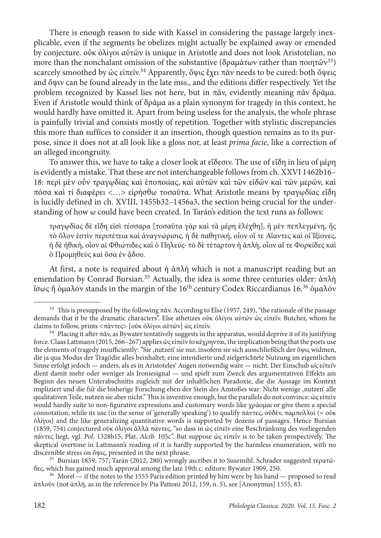There is enough reason to side with Kassel in considering the passage largely inexplicable, even if the segments he obelizes might actually be explained away or emended by conjecture. οὐκ ὀλίγοι αὐτῶν is unique in Aristotle and does not look Aristotelian, no more than the nonchalant omission of the substantive (δραμάτων rather than ποιητῶν<sup>33</sup>) scarcely smoothed by ὡς εἰπεῖν.<sup>34</sup> Apparently, ὄψις ἔχει πᾶν needs to be cured: both ὄψεις and ὄψιν can be found already in the late mss., and the editions differ respectively. Yet the problem recognized by Kassel lies not here, but in πᾶν, evidently meaning πᾶν δρᾶμα. Even if Aristotle would think of δρᾶμα as a plain synonym for tragedy in this context, he would hardly have omitted it. Apart from being useless for the analysis, the whole phrase is painfully trivial and consists mostly of repetition. Together with stylistic discrepancies this more than suffices to consider it an insertion, though question remains as to its purpose, since it does not at all look like a gloss nor, at least *prima facie*, like a correction of an alleged incongruity.

To answer this, we have to take a closer look at εἴδεσιν. The use of εἴδη in lieu of μέρη is evidently a mistake. That these are not interchangeable follows from ch. XXVI 1462b16– 18: περὶ μὲν οὖν τραγῳδίας καὶ ἐποποιίας, καὶ αὐτῶν καὶ τῶν εἰδῶν καὶ τῶν μερῶν, καὶ πόσα καὶ τί διαφέρει <…> εἰρήσθω τοσαῦτα. What Aristotle means by τραγῳδίας εἴδη is lucidly defined in ch. XVIII, 1455b32–1456a3, the section being crucial for the understanding of how ω could have been created. In Tarán's edition the text runs as follows:

τραγῳδίας δὲ εἴδη εἰσὶ τέσσαρα [τοσαῦτα γὰρ καὶ τὰ μέρη ἐλέχθη], ἡ μὲν πεπλεγμένη, ἧς τὸ ὅλον ἐστὶν περιπέτεια καὶ ἀναγνώρισις, ἡ δὲ παθητική, οἷον οἵ τε Αἴαντες καὶ οἱ Ἰξίονες, ἡ δὲ ἠθική, οἷον αἱ Φθιώτιδες καὶ ὁ Πηλεύς· τὸ δὲ τέταρτον ἡ ἁπλὴ, οἷον αἵ τε Φορκίδες καὶ δ Προμηθεύς και ὅσα ἐν ἅδου.

At first, a note is required about ἡ ἁπλή which is not a manuscript reading but an emendation by Conrad Bursian.<sup>35</sup> Actually, the idea is some three centuries older: άπλὴ ἴσως ἢ ὁμαλόν stands in the margin of the 16th century Codex Riccardianus 16.36 ὁμαλόν

<sup>35</sup> Bursian 1859, 757; Tarán (2012, 280) wrongly ascribes it to Susemihl. Schrader suggested τερατῶδες, which has gained much approval among the late 19th c. editors: Bywater 1909, 250.

<sup>36</sup> Morel — if the notes to the 1555 Paris edition printed by him were by his hand — proposed to read ἁπλοῦν (not ἁπλῆ, as in the reference by Pia Pattoni 2012, 159, n. 5), see [Anonymus] 1555, 83.

<sup>&</sup>lt;sup>33</sup> This is presupposed by the following  $\pi \tilde{\alpha}$ y. According to Else (1957, 249), "the rationale of the passage demands that it be the dramatic characters". Else athetizes οὐκ ὀλίγοι αὐτῶν ὡς εἰπεῖν. Butcher, whom he claims to follow, prints <πάντες> [οὐκ ὀλίγοι αὐτῶν] ὡς εἰπεῖν.

<sup>&</sup>lt;sup>34</sup> Placing it after  $\pi\tilde{\alpha}v$ , as Bywater tentatively suggests in the apparatus, would deprive it of its justifying force. Claas Lattmann (2015, 266–267) applies ὡς εἰπεῖν to κέχρηνται, the implication being that the poets use the elements of tragedy insufficiently: "Sie ,nutzen' sie nur, insofern sie sich ausschließlich der ὄψις widmen, die ja qua Modus der Tragödie alles beinhaltet; eine intendierte und zielgerichtete Nutzung im eigentlichen Sinne erfolgt jedoch — anders, als es in Aristoteles' Augen notwendig wäre — nicht. Der Einschub ὡς εἰπεῖν dient damit mehr oder weniger als Ironiesignal — und spielt zum Zweck des argumentativen Effekts am Beginn des neuen Unterabschnitts zugleich mit der inhaltlichen Paradoxie, die die Aussage im Kontext impliziert und die für die bisherige Forschung eben der Stein des Anstoßes war: Nicht wenige 'nutzen' alle qualitativen Teile, nutzen sie aber nicht." This is inventive enough, but the parallels do not convince: ὡς εἰπεῖν would hardly suite to non-figurative expressions and customary words like χράομαι or give them a special connotation, while its use (in the sense of 'generally speaking') to qualify πάντες, οὐδέν, παμπολλοί (= οὐκ ὀλίγοι) and the like generalizing quantitative words is supported by dozens of passages. Hence Bursian (1859, 754) conjectured οὐκ ὀλίγοι ἀλλὰ πάντες, "so dass in ὡς εἰπεῖν eine Beschränkung des vorliegenden πάντες liegt, vgl. *Pol.* 1328b15; Plat. *Alcib.* 105c". But suppose ὡς εἰπεῖν is to be taken prospectively. The skeptical overtone in Lattmann's reading of it is hardly supported by the harmless enumeration, with no discernible stress on ὄψις, presented in the next phrase.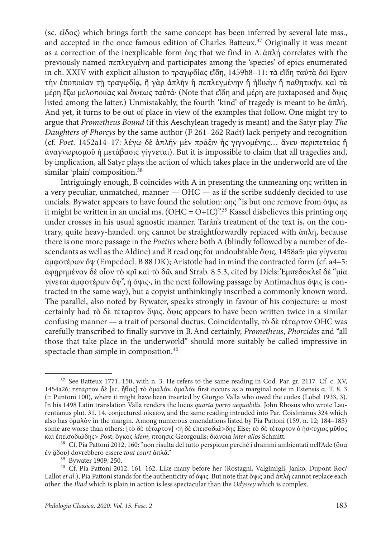(sc. εἶδος) which brings forth the same concept has been inferred by several late mss., and accepted in the once famous edition of Charles Batteux.<sup>37</sup> Originally it was meant as a correction of the inexplicable form όης that we find in A.άπλή correlates with the previously named πεπλεγμένη and participates among the 'species' of epics enumerated in ch. XXIV with explicit allusion to τραγῳδίας εἴδη, 1459b8–11: τὰ εἴδη ταὐτὰ δεῖ ἔχειν τὴν ἐποποιίαν τῇ τραγῳδίᾳ, ἢ γὰρ ἁπλῆν ἢ πεπλεγμένην ἢ ἠθικὴν ἢ παθητικήν. καὶ τὰ μέρη ἔξω μελοποιίας καὶ ὄψεως ταὐτά· (Note that εἴδη and μέρη are juxtaposed and ὄψις listed among the latter.) Unmistakably, the fourth 'kind' of tragedy is meant to be άπλή. And yet, it turns to be out of place in view of the examples that follow. One might try to argue that *Prometheus Bound* (if this Aeschylean tragedy is meant) and the Satyr play *The Daughters of Phorcys* by the same author (F 261–262 Radt) lack peripety and recognition (cf. *Poet*. 1452a14–17: λέγω δὲ ἁπλῆν μὲν πρᾶξιν ἧς γιγνομένης… ἄνευ περιπετείας ἢ ἀναγνωρισμοῦ ἡ μετάβασις γίγνεται). But it is impossible to claim that all tragedies and, by implication, all Satyr plays the action of which takes place in the underworld are of the similar 'plain' composition.<sup>38</sup>

Intriguingly enough, B coincides with A in presenting the unmeaning οης written in a very peculiar, unmatched, manner — OHC — as if the scribe suddenly decided to use uncials. Bywater appears to have found the solution: οης "is but one remove from ὄψις as it might be written in an uncial ms. (ОНС **=** O**+**IС)".39 Kassel disbelieves this printing οης under crosses in his usual agnostic manner. Tarán's treatment of the text is, on the contrary, quite heavy-handed. οης cannot be straightforwardly replaced with ἁπλή, because there is one more passage in the *Poetics* where both A (blindly followed by a number of descendants as well as the Aldine) and B read οης for undoubtable ὄψις, 1458a5: μία γίγνεται ἀμφοτέρων ὄψ (Empedocl. B 88 DK); Aristotle had in mind the contracted form (cf. a4–5: ἀφῃρημένον δὲ οἷον τὸ κρῖ καὶ τὸ δῶ, and Strab. 8.5.3, cited by Diels: Ἐμπεδοκλεῖ δέ "μία γίνεται ἀμφοτέρων ὄψ", ἡ ὄψις·, in the next following passage by Antimachus ὄψις is contracted in the same way), but a copyist unthinkingly inscribed a commonly known word. The parallel, also noted by Bywater, speaks strongly in favour of his conjecture:  $\omega$  most certainly had τὸ δὲ τέταρτον ὄψις. ὄψις appears to have been written twice in a similar confusing manner — a trait of personal ductus. Coincidentally, τὸ δὲ τέταρτον OHC was carefully transcribed to finally survive in B.And certainly, *Prometheus*, *Phorcides* and "all those that take place in the underworld" should more suitably be called impressive in spectacle than simple in composition.<sup>40</sup>

<sup>37</sup> See Batteux 1771, 150, with n. 3. He refers to the same reading in Cod. Par. gr. 2117*.* Cf. c. XV, 1454a26: τέταρτον δὲ [sc. ἦθος] τὸ ὁμαλόν. ὁμαλὸν first occurs as a marginal note in Estensis α. Τ. 8. 3 (= Puntoni 100), where it might have been inserted by Giorgio Valla who owed the codex (Lobel 1933, 3). In his 1498 Latin translation Valla renders the locus *quarta porro aequabilis.* John Rhosus who wrote Laurentianus plut. 31. 14. conjectured οἰκεῖον, and the same reading intruded into Par. Coislinanus 324 which also has ὁμαλὸν in the margin. Among numerous emendations listed by Pia Pattoni (159, n. 12; 184–185) some are worse than others: [τò δὲ τέταρτον] <ἡ δὲ ἐπεισοδιώ>δης Else; τò δὲ τέταρτον ὁ ἡσ<ύχιος μῦθος καὶ ἐπεισοδιώδης> Post; ὄγκος *idem*; πτόησις Georgoulis; διάνοια *inter alios* Schmitt.

<sup>&</sup>lt;sup>38</sup> Cf. Pia Pattoni 2012, 160: "non risulta del tutto perspicuo perché i drammi ambientati nell'Ade (ὅσα ἐν ᾅδου) dovrebbero essere *tout court* ἁπλᾶ."

<sup>39</sup> Bywater 1909, 250.

<sup>40</sup> Cf. Pia Pattoni 2012, 161–162. Like many before her (Rostagni, Valgimigli, Janko, Dupont-Roc/ Lallot *et al*.), Pia Pattoni stands for the authenticity of ὄψις. But note that ὄψις and ἁπλή cannot replace each other: the *Iliad* which is plain in action is less spectacular than the *Odyssey* which is complex.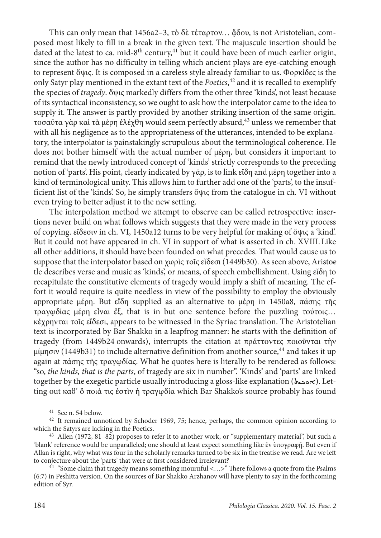This can only mean that 1456a2-3, τὸ δὲ τέταρτον... ἄδου, is not Aristotelian, composed most likely to fill in a break in the given text. The majuscule insertion should be dated at the latest to ca. mid-8<sup>th</sup> century,<sup>41</sup> but it could have been of much earlier origin, since the author has no difficulty in telling which ancient plays are eye-catching enough to represent ὄψις. It is composed in a careless style already familiar to us. Φορκίδες is the only Satyr play mentioned in the extant text of the *Poetics*, 42 and it is recalled to exemplify the species of *tragedy*. ὄψις markedly differs from the other three 'kinds', not least because of its syntactical inconsistency, so we ought to ask how the interpolator came to the idea to supply it. The answer is partly provided by another striking insertion of the same origin. τοσαῦτα γὰρ καὶ τὰ μέρη ἐλέχθη would seem perfectly absurd,43 unless we remember that with all his negligence as to the appropriateness of the utterances, intended to be explanatory, the interpolator is painstakingly scrupulous about the terminological coherence. He does not bother himself with the actual number of μέρη, but considers it important to remind that the newly introduced concept of 'kinds' strictly corresponds to the preceding notion of 'parts'. His point, clearly indicated by γάρ, is to link εἴδη and μέρη together into a kind of terminological unity. This allows him to further add one of the 'parts', to the insufficient list of the 'kinds'. So, he simply transfers ὄψις from the catalogue in ch. VI without even trying to better adjust it to the new setting.

The interpolation method we attempt to observe can be called retrospective: insertions never build on what follows which suggests that they were made in the very process of copying. εἴδεσιν in ch. VI, 1450a12 turns to be very helpful for making of ὄψις a 'kind'. But it could not have appeared in ch. VI in support of what is asserted in ch. XVIII.Like all other additions, it should have been founded on what precedes. That would cause us to suppose that the interpolator based on χωρὶς τοῖς εἴδεσι (1449b30). As seen above, Aristoetle describes verse and music as 'kinds', or means, of speech embellishment. Using εἴδη to recapitulate the constitutive elements of tragedy would imply a shift of meaning. The effort it would require is quite needless in view of the possibility to employ the obviously appropriate μέρη. But εἴδη supplied as an alternative to μέρη in 1450a8, πάσης τῆς τραγῳδίας μέρη εἶναι ἕξ, that is in but one sentence before the puzzling τούτοις… κέχρηνται τοῖς εἴδεσι, appears to be witnessed in the Syriac translation. The Aristotelian text is incorporated by Bar Shakko in a leapfrog manner: he starts with the definition of tragedy (from 1449b24 onwards), interrupts the citation at πράττοντες ποιοῦνται τὴν μίμησιν (1449b31) to include alternative definition from another source,44 and takes it up again at πάσης τῆς τραγῳδίας. What he quotes here is literally to be rendered as follows: "so, *the kinds, that is the parts*, of tragedy are six in number". 'Kinds' and 'parts' are linked together by the exegetic particle usually introducing a gloss-like explanation (ܐܘܟܝܬ(. Letting out καθ' ὃ ποιά τις ἐστὶν ἡ τραγῳδία which Bar Shakko's source probably has found

<sup>41</sup> See n. 54 below.

<sup>&</sup>lt;sup>42</sup> It remained unnoticed by Schoder 1969, 75; hence, perhaps, the common opinion according to which the Satyrs are lacking in the Poetics.

<sup>43</sup> Allen (1972, 81–82) proposes to refer it to another work, or "supplementary material", but such a 'blank' reference would be unparalleled; one should at least expect something like ἐν ὑπογραφῇ. But even if Allan is right, why what was four in the scholarly remarks turned to be six in the treatise we read. Are we left to conjecture about the 'parts' that were at first considered irrelevant?

<sup>&</sup>lt;sup>44</sup> "Some claim that tragedy means something mournful  $\langle \ldots \rangle$ " There follows a quote from the Psalms (6:7) in Peshitta version. On the sources of Bar Shakko Arzhanov will have plenty to say in the forthcoming edition of Syr.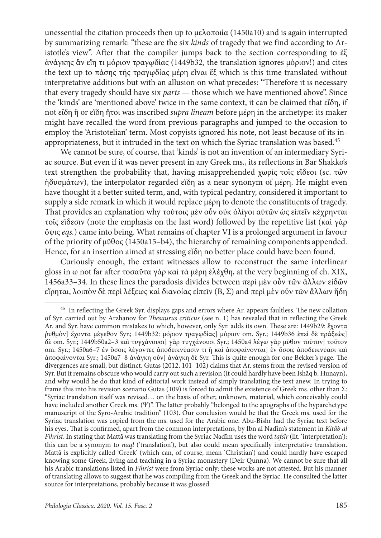unessential the citation proceeds then up to μελοποιία (1450a10) and is again interrupted by summarizing remark: "these are the six *kinds* of tragedy that we find according to Aristotle's view". After that the compiler jumps back to the section corresponding to ἐξ ἀνάγκης ἂν εἴη τι μόριον τραγῳδίας (1449b32, the translation ignores μόριον!) and cites the text up to πάσης τῆς τραγῳδίας μέρη εἶναι ἕξ which is this time translated without interpretative additions but with an allusion on what precedes: "Therefore it is necessary that every tragedy should have six *parts* — those which we have mentioned above". Since the 'kinds' are 'mentioned above' twice in the same context, it can be claimed that εἴδη, if not εἴδη ἢ or εἴδη ἤτοι was inscribed *supra lineam* before μέρη in the archetype: its maker might have recalled the word from previous paragraphs and jumped to the occasion to employ the 'Aristotelian' term. Most copyists ignored his note, not least because of its inappropriateness, but it intruded in the text on which the Syriac translation was based.45

We cannot be sure, of course, that 'kinds' is not an invention of an intermediary Syriac source. But even if it was never present in any Greek ms., its reflections in Bar Shakko's text strengthen the probability that, having misapprehended χωρὶς τοῖς εἴδεσι (sc. τῶν ἡδυσμάτων), the interpolator regarded εἴδη as a near synonym of μέρη. He might even have thought it a better suited term, and, with typical pedantry, considered it important to supply a side remark in which it would replace μέρη to denote the constituents of tragedy. That provides an explanation why τούτοις μὲν οὖν οὐκ ὀλίγοι αὐτῶν ὡς εἰπεῖν κέχρηνται τοῖς εἴδεσιν (note the emphasis on the last word) followed by the repetitive list (καὶ γὰρ ὄψις *eqs.*) came into being. What remains of chapter VI is a prolonged argument in favour of the priority of μῦθος (1450a15–b4), the hierarchy of remaining components appended. Hence, for an insertion aimed at stressing εἴδη no better place could have been found.

Curiously enough, the extant witnesses allow to reconstruct the same interlinear gloss in ω not far after τοσαῦτα γὰρ καὶ τὰ μέρη ἐλέχθη, at the very beginning of ch. ΧΙΧ, 1456a33–34. In these lines the paradosis divides between περὶ μὲν οὖν τῶν ἄλλων εἰδῶν εἴρηται, λοιπὸν δὲ περὶ λέξεως καὶ διανοίας εἰπεῖν (B, Σ) and περὶ μὲν οὖν τῶν ἄλλων ἤδη

<sup>45</sup> In reflecting the Greek Syr. displays gaps and errors where Ar. appears faultless. The new collation of Syr. carried out by Arzhanov for *Thesaurus criticus* (see n. 1) has revealed that in reflecting the Greek Ar. and Syr. have common mistakes to which, however, only Syr. adds its own. These are: 1449b29: ἔχοντα ῥυθμὸν] ἔχοντα μέγεθον Syr.; 1449b32: μόριον τραγῳδίας] μόριον om. Syr.; 1449b36 ἐπεὶ δὲ πράξεώς] δὲ om. Syr.; 1449b50a2–3 καὶ τυγχάνουσι] γὰρ τυγχάνουσι Syr.; 1450a4 λέγω γὰρ μῦθον τοῦτον] τοῦτον om. Syr.; 1450a6–7 ἐν ὅσοις λέγοντες ἀποδεικνύασίν τι ἢ καὶ ἀποφαίνονται] ἐν ὅσοις ἀποδεικνύασι καὶ ἀποφαίνονται Syr.; 1450a7–8 ἀνάγκη οὖν] ἀνάγκη δὲ Syr. This is quite enough for one Bekker's page. The divergences are small, but distinct. Gutas (2012, 101–102) claims that Ar. stems from the revised version of Syr. But it remains obscure who would carry out such a revision (it could hardly have been Ishāq b. Hunayn), and why would he do that kind of editorial work instead of simply translating the text anew. In trying to frame this into his revision scenario Gutas (109) is forced to admit the existence of Greek ms. other than Σ: "Syriac translation itself was revised… on the basis of other, unknown, material, which conceivably could have included another Greek ms. (Ψ)". The latter probably "belonged to the apographs of the hyparchetype manuscript of the Syro-Arabic tradition" (103). Our conclusion would be that the Greek ms. used for the Syriac translation was copied from the ms. used for the Arabic one. Abu-Bishr had the Syriac text before his eyes. That is confirmed, apart from the common interpretations, by Ibn al Nadīm's statement in *Kitāb al Fihrist*. In stating that Mattā was translating from the Syriac Nadīm uses the word *tafsīr* (lit. 'interpretation'): this can be a synonym to *naql* ('translation'), but also could mean specifically interpretative translation. Mattā is explicitly called 'Greek' (which can, of course, mean 'Christian') and could hardly have escaped knowing some Greek, living and teaching in a Syriac monastery (Deir Qunna). We cannot be sure that all his Arabic translations listed in *Fihrist* were from Syriac only: these works are not attested. But his manner of translating allows to suggest that he was compiling from the Greek and the Syriac. He consulted the latter source for interpretations, probably because it was glossed.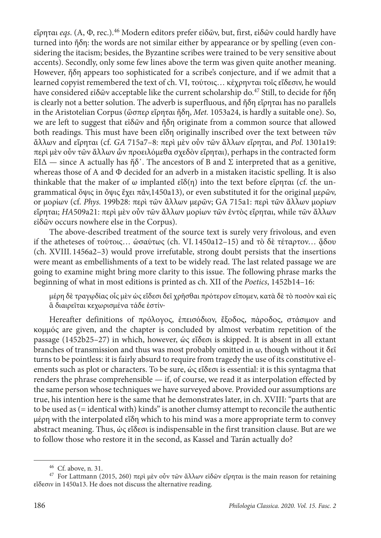εἴρηται *eqs*. (A, Φ, rec.).46 Modern editors prefer εἰδῶν, but, first, εἰδῶν could hardly have turned into ἤδη: the words are not similar either by appearance or by spelling (even considering the itacism; besides, the Byzantine scribes were trained to be very sensitive about accents). Secondly, only some few lines above the term was given quite another meaning. However, ἤδη appears too sophisticated for a scribe's conjecture, and if we admit that a learned copyist remembered the text of ch. VI, τούτοις… κέχρηνται τοῖς εἴδεσιν, he would have considered εἰδῶν acceptable like the current scholarship do.47 Still, to decide for ἤδη is clearly not a better solution. The adverb is superfluous, and ἤδη εἴρηται has no parallels in the Aristotelian Corpus (ὥσπερ εἴρηται ἤδη, *Met.* 1053a24, is hardly a suitable one). So, we are left to suggest that εἰδῶν and ἤδη originate from a common source that allowed both readings. This must have been εἴδη originally inscribed over the text between τῶν ἄλλων and εἴρηται (cf. *GA* 715a7–8: περὶ μὲν οὖν τῶν ἄλλων εἴρηται, and *Pol*. 1301a19: περὶ μὲν οὖν τῶν ἄλλων ὧν προειλόμεθα σχεδὸν εἴρηται), perhaps in the contracted form ΕΙΔ — since A actually has ἤδ᾽. The ancestors of B and Σ interpreted that as a genitive, whereas those of Α and Φ decided for an adverb in a mistaken itacistic spelling. It is also thinkable that the maker of ω implanted εἴδ(η) into the text before εἴρηται (cf. the ungrammatical ὄψις in ὄψις ἔχει πᾶν,1450a13), or even substituted it for the original μερῶν, or μορίων (cf. *Phys.* 199b28: περὶ τῶν ἄλλων μερῶν; GA 715a1: περὶ τῶν ἄλλων μορίων εἴρηται; *HA*509a21: περὶ μὲν οὖν τῶν ἄλλων μορίων τῶν ἐντὸς εἴρηται, while τῶν ἄλλων εἰδῶν occurs nowhere else in the Corpus).

The above-described treatment of the source text is surely very frivolous, and even if the atheteses of τούτοις... ώσαύτως (ch. VI. 1450a12–15) and τὸ δὲ τέταρτον... ἅδου (ch. XVIII. 1456a2–3) would prove irrefutable, strong doubt persists that the insertions were meant as embellishments of a text to be widely read. The last related passage we are going to examine might bring more clarity to this issue. The following phrase marks the beginning of what in most editions is printed as ch. XII of the *Poetics*, 1452b14–16:

μέρη δὲ τραγῳδίας οἷς μὲν ὡς εἴδεσι δεῖ χρῆσθαι πρότερον εἴπομεν, κατὰ δὲ τὸ ποσὸν καὶ εἰς ἃ διαιρεῖται κεχωρισμένα τάδε ἐστίν·

Hereafter definitions of πρόλογος, ἐπεισόδιον, ἔξοδος, πάροδος, στάσιμον and κομμός are given, and the chapter is concluded by almost verbatim repetition of the passage (1452b25–27) in which, however, ὡς εἴδεσι is skipped. It is absent in all extant branches of transmission and thus was most probably omitted in ω, though without it δεῖ turns to be pointless: it is fairly absurd to require from tragedy the use of its constitutive elements such as plot or characters. To be sure, ὡς εἴδεσι is essential: it is this syntagma that renders the phrase comprehensible — if, of course, we read it as interpolation effected by the same person whose techniques we have surveyed above. Provided our assumptions are true, his intention here is the same that he demonstrates later, in ch. XVIII: "parts that are to be used as (= identical with) kinds" is another clumsy attempt to reconcile the authentic μέρη with the interpolated εἴδη which to his mind was a more appropriate term to convey abstract meaning. Thus, ὡς εἴδεσι is indispensable in the first transition clause. But are we to follow those who restore it in the second, as Kassel and Tarán actually do?

<sup>46</sup> Cf. above, n. 31.

<sup>&</sup>lt;sup>47</sup> For Lattmann (2015, 260) περὶ μὲν οὖν τῶν ἄλλων εἰδῶν εἴρηται is the main reason for retaining εἴδεσιν in 1450a13. He does not discuss the alternative reading.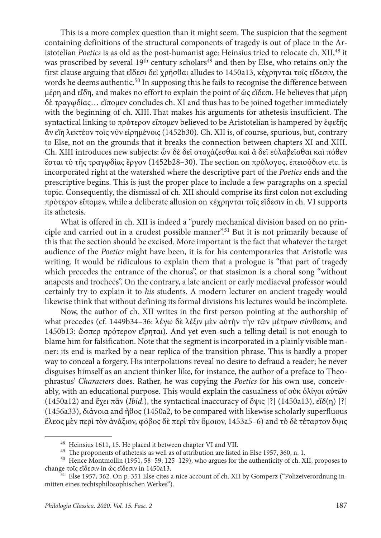This is a more complex question than it might seem. The suspicion that the segment containing definitions of the structural components of tragedy is out of place in the Aristotelian *Poetics* is as old as the post-humanist age: Heinsius tried to relocate ch. ΧΙΙ, 48 it was proscribed by several  $19<sup>th</sup>$  century scholars<sup>49</sup> and then by Else, who retains only the first clause arguing that εἴδεσι δεῖ χρῆσθαι alludes to 1450a13, κέχρηνται τοῖς εἴδεσιν, the words he deems authentic.<sup>50</sup> In supposing this he fails to recognise the difference between μέρη and εἴδη, and makes no effort to explain the point of ὡς εἴδεσι. He believes that μέρη δὲ τραγῳδίας… εἴπομεν concludes ch. XI and thus has to be joined together immediately with the beginning of ch. XIII.That makes his arguments for athetesis insufficient. The syntactical linking to πρότερον εἴπομεν believed to be Aristotelian is hampered by ἐφεξῆς ἂν εἴη λεκτέον τοῖς νῦν εἰρημένοις (1452b30). Ch. XII is, of course, spurious, but, contrary to Else, not on the grounds that it breaks the connection between chapters ΧΙ and ΧΙΙΙ. Ch. XIII introduces new subjects: ὧν δὲ δεῖ στοχάζεσθαι καὶ ἃ δεῖ εὐλαβεῖσθαι καὶ πόθεν ἔσται τὸ τῆς τραγῳδίας ἔργον (1452b28–30). The section on πρόλογος, ἐπεισόδιον etc. is incorporated right at the watershed where the descriptive part of the *Poetics* ends and the prescriptive begins. This is just the proper place to include a few paragraphs on a special topic. Consequently, the dismissal of ch. XII should comprise its first colon not excluding πρότερον εἴπομεν, while a deliberate allusion on κέχρηνται τοῖς εἴδεσιν in ch. VI supports its athetesis.

What is offered in ch. XII is indeed a "purely mechanical division based on no principle and carried out in a crudest possible manner".51 But it is not primarily because of this that the section should be excised. More important is the fact that whatever the target audience of the *Poetics* might have been, it is for his contemporaries that Aristotle was writing. It would be ridiculous to explain them that a prologue is "that part of tragedy which precedes the entrance of the chorus", or that stasimon is a choral song "without anapests and trochees". On the contrary, a late ancient or early mediaeval professor would certainly try to explain it to *his* students. A modern lecturer on ancient tragedy would likewise think that without defining its formal divisions his lectures would be incomplete.

Now, the author of ch. XII writes in the first person pointing at the authorship of what precedes (cf. 1449b34–36: λέγω δὲ λέξιν μὲν αὐτὴν τὴν τῶν μέτρων σύνθεσιν, and 1450b13: ὥσπερ πρότερον εἴρηται). And yet even such a telling detail is not enough to blame him for falsification. Note that the segment is incorporated in a plainly visible manner: its end is marked by a near replica of the transition phrase. This is hardly a proper way to conceal a forgery. His interpolations reveal no desire to defraud a reader; he never disguises himself as an ancient thinker like, for instance, the author of a preface to Theophrastus' *Characters* does. Rather, he was copying the *Poetics* for his own use, conceivably, with an educational purpose. This would explain the casualness of οὐκ ὀλίγοι αὐτῶν (1450a12) and ἔχει πᾶν (*Ibid*.), the syntactical inaccuracy of ὄψις [?] (1450a13), εἴδ(η) [?] (1456a33), διάνοια and ἦθος (1450a2, to be compared with likewise scholarly superfluous ἔλεος μὲν περὶ τὸν ἀνάξιον, φόβος δὲ περὶ τὸν ὅμοιον, 1453a5–6) and τὸ δὲ τέταρτον ὄψις

<sup>48</sup> Heinsius 1611, 15. He placed it between chapter VI and VII.

<sup>&</sup>lt;sup>49</sup> The proponents of athetesis as well as of attribution are listed in Else 1957, 360, n. 1.

<sup>50</sup> Hence Montmollin (1951, 58–59; 125–129), who argues for the authenticity of ch. XII, proposes to change τοῖς εἴδεσιν in ὡς εἴδεσιν in 1450a13.

<sup>&</sup>lt;sup>51</sup> Else 1957, 362. On p. 351 Else cites a nice account of ch. XII by Gomperz ("Polizeiverordnung inmitten eines rechtsphilosophischen Werkes").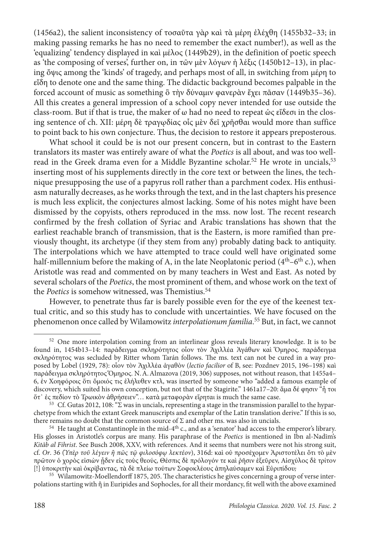(1456a2), the salient inconsistency of τοσαῦτα γὰρ καὶ τὰ μέρη ἐλέχθη (1455b32–33; in making passing remarks he has no need to remember the exact number!), as well as the 'equalizing' tendency displayed in καὶ μέλος (1449b29), in the definition of poetic speech as 'the composing of verses', further on, in τῶν μὲν λόγων ἡ λέξις (1450b12–13), in placing ὄψις among the 'kinds' of tragedy, and perhaps most of all, in switching from μέρη to εἴδη to denote one and the same thing. The didactic background becomes palpable in the forced account of music as something ὃ τὴν δύναμιν φανερὰν ἔχει πᾶσαν (1449b35–36). All this creates a general impression of a school copy never intended for use outside the class-room. But if that is true, the maker of ω had no need to repeat ὡς εἴδεσι in the closing sentence of ch. XII: μέρη δὲ τραγῳδίας οἶς μὲν δεῖ χρῆσθαι would more than suffice to point back to his own conjecture. Thus, the decision to restore it appears preposterous.

What school it could be is not our present concern, but in contrast to the Eastern translators its master was entirely aware of what the *Poetics* is all about, and was too wellread in the Greek drama even for a Middle Byzantine scholar.<sup>52</sup> He wrote in uncials,<sup>53</sup> inserting most of his supplements directly in the core text or between the lines, the technique presupposing the use of a papyrus roll rather than a parchment codex. His enthusiasm naturally decreases, as he works through the text, and in the last chapters his presence is much less explicit, the conjectures almost lacking. Some of his notes might have been dismissed by the copyists, others reproduced in the mss. now lost. The recent research confirmed by the fresh collation of Syriac and Arabic translations has shown that the earliest reachable branch of transmission, that is the Eastern, is more ramified than previously thought, its archetype (if they stem from any) probably dating back to antiquity. The interpolations which we have attempted to trace could well have originated some half-millennium before the making of A, in the late Neoplatonic period  $(4<sup>th</sup>-6<sup>th</sup> c)$ , when Aristotle was read and commented on by many teachers in West and East. As noted by several scholars of the *Poetics*, the most prominent of them, and whose work on the text of the *Poetics* is somehow witnessed, was Themistius.<sup>54</sup>

However, to penetrate thus far is barely possible even for the eye of the keenest textual critic, and so this study has to conclude with uncertainties. We have focused on the phenomenon once called by Wilamowitz *interpolationum familia*. 55 But, in fact, we cannot

<sup>&</sup>lt;sup>52</sup> One more interpolation coming from an interlinear gloss reveals literary knowledge. It is to be found in, 1454b13–14: παράδειγμα σκληρότητος οἷον τὸν Ἀχιλλέα Ἀγάθων καὶ Ὅμηρος. παράδειγμα σκληρότητος was secluded by Ritter whom Tarán follows. The ms. text can not be cured in a way proposed by Lobel (1929, 78): οἷον τὸν Ἀχιλλέα ἀγαθὸν (*lectio facilior* of B, see: Pozdnev 2015, 196–198) καὶ παράδειγμα σκληρότητος Ὅμηρος. N.A.Almazova (2019, 306) supposes, not without reason, that 1455a4– 6, ἐν Χοηφόροις ὅτι ὅμοιός τις ἐλήλυθεν κτλ, was inserted by someone who "added a famous example of discovery, which suited his own conception, but not that of the Stagirite." 1461a17–20: ἅμα δέ φησιν "ἦ τοι ὅτ᾽ ἐς πεδίον τὸ Τρωικὸν ἀθρήσειεν"… κατὰ μεταφορὰν εἴρηται is much the same case.

<sup>&</sup>lt;sup>53</sup> Cf. Gutas 2012, 108: "Σ was in uncials, representing a stage in the transmission parallel to the hyparchetype from which the extant Greek manuscripts and exemplar of the Latin translation derive." If this is so, there remains no doubt that the common source of  $\Sigma$  and other ms. was also in uncials.

 $54$  He taught at Constantinople in the mid-4<sup>th</sup> c., and as a 'senator' had access to the emperor's library. His glosses in Aristotle's corpus are many. His paraphrase of the *Poetics* is mentioned in Ibn al-Nadīm's *Kitāb al Fihrist*. See Busch 2008, XXV, with references. And it seems that numbers were not his strong suit, cf. *Or*. 36 (*Ὑπὲρ τοῦ λέγειν ἢ πῶς τῷ φιλοσόφῳ λεκτέον*), 316d: καὶ οὐ προσέχομεν Ἀριστοτέλει ὅτι τὸ μὲν πρῶτον ὁ χορὸς εἰσιὼν ᾖδεν εἰς τοὺς θεούς, Θέσπις δὲ πρόλογόν τε καὶ ῥῆσιν ἐξεῦρεν, Αἰσχύλος δὲ τρίτον [!] ὑποκριτὴν καὶ ὀκρίβαντας, τὰ δὲ πλείω τούτων Σοφοκλέους ἀπηλαύσαμεν καὶ Εὐριπίδου;

<sup>55</sup> Wilamowitz-Moellendorff 1875, 205. The characteristics he gives concerning a group of verse interpolations starting with ἢ in Euripides and Sophocles, for all their mordancy, fit well with the above examined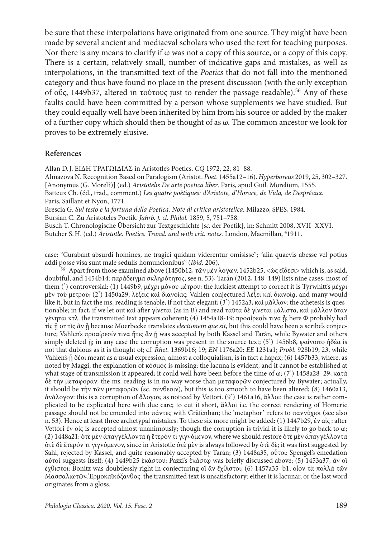be sure that these interpolations have originated from one source. They might have been made by several ancient and mediaeval scholars who used the text for teaching purposes. Nor there is any means to clarify if  $\omega$  was not a copy of this source, or a copy of this copy. There is a certain, relatively small, number of indicative gaps and mistakes, as well as interpolations, in the transmitted text of the *Poetics* that do not fall into the mentioned category and thus have found no place in the present discussion (with the only exception of οὕς, 1449b37, altered in τούτους just to render the passage readable).56 Any of these faults could have been committed by a person whose supplements we have studied. But they could equally well have been inherited by him from his source or added by the maker of a further copy which should then be thought of as ω. The common ancestor we look for proves to be extremely elusive.

## **References**

Allan D.J. ΕΙΔΗ ΤΡΑΓΩΙΔΙΑΣ in Aristotle's Poetics. *CQ* 1972, 22, 81–88.

Almazova N. Recognition Based on Paralogism (Aristot. *Poet*. 1455a12–16). *Hyperboreus* 2019, 25, 302–327.

[Anonymus (G. Morel?)] (ed.) *Aristotelis De arte poetica liber*. Paris, apud Guil. Morelium, 1555.

Batteux Ch. (éd., trad., comment.) *Les quatre poëtiques: d'Aristote, d'Horace, de Vida, de Despréaux.*  Paris, Saillant et Nyon, 1771.

Brescia G. *Sul testo e la fortuna della Poetica. Note di critica aristotelica.* Milazzo, SPES, 1984. Bursian C. Zu Aristoteles Poetik. *Jahrb. f. cl. Philol.* 1859, 5, 751–758.

Busch T. Chronologische Übersicht zur Textgeschichte [*sc*. der Poetik], in: Schmitt 2008, XVII–XXVI. Butcher S.H. (ed.) Aristotle. Poetics. Transl. and with crit. notes. London, Macmillan, <sup>4</sup>1911.

<sup>56</sup> Apart from those examined above (1450b12, τῶν μὲν λόγων, 1452b25, <ώς εἴδεσι> which is, as said, doubtful, and 1454b14: παράδειγμα σκληρότητος, see n. 53), Tarán (2012, 148–149) lists nine cases, most of them (\* ) controversial: (1) 1449b9, μέχρι μόνου μέτρου: the luckiest attempt to correct it is Tyrwhitt's μέχρι μὲν τοὺ μέτρου; (2\* ) 1450a29, λέξεις καὶ διανοίας: Vahlen conjectured λέξει καὶ διανοίᾳ, and many would like it, but in fact the ms. reading is tenable, if not that elegant; (3\* ) 1452a3, καὶ μᾶλλον: the athetesis is questionable; in fact, if we let out καὶ after γίνεται (as in B) and read ταῦτα δὲ γίνεται μάλιστα, καὶ μᾶλλον ὅταν γένηται κτλ. the transmitted text appears coherent; (4) 1454a18-19: προαίρεσίν τινα ή; here Φ probably had τὶς ᾖ or τὶς ἂν ᾖ because Moerbecke translates *electionem que sit*, but this could have been a scribe's conjecture; Vahlen's προαίρεσίν τινα ἥτις ἂν ἦ was accepted by both Kassel and Tarán, while Bywater and others simply deleted ἦ; in any case the corruption was present in the source text; (5\*) 1456b8, φαίνοιτο ήδέα is not that dubious as it is thought of; cf. *Rhet.* 1369b16; 19; *EN* 1176a20: *EE* 1231a1; *Probl.* 928b19; 23, while Vahlen's ᾗ δέοι meant as a usual expression, almost a colloquialism, is in fact a hapax; (6) 1457b33, where, as noted by Maggi, the explanation of κόσμος is missing; the lacuna is evident, and it cannot be established at what stage of transmission it appeared; it could well have been before the time of ω; (7\* ) 1458a28–29, κατὰ δὲ τὴν μεταφοράν: the ms. reading is in no way worse than μεταφορῶν conjectured by Bywater; actually, it should be τὴν τῶν μεταφορῶν (sc. σύνθεσιν), but this is too smooth to have been altered; (8) 1460a13, ἀνάλογον: this is a corruption of ἄλογον, as noticed by Vettori. (9\* ) 1461a16, ἄλλοι: the case is rather complicated to be explicated here with due care; to cut it short, ἄλλοι i.e. the correct rendering of Homeric passage should not be emended into πάντες with Gräfenhan; the 'metaphor᾽ refers to παννύχιοι (see also n. 53). Hence at least three archetypal mistakes. To these six more might be added: (1) 1447b29, ἐν αἷς : after Vettori ἐν οἷς is accepted almost unanimously; though the corruption is trivial it is likely to go back to ω; (2) 1448a21: ὁτὲ μὲν ἀπαγγέλλοντα ἢ ἕτερόν τι γιγνόμενον, where we should restore ὁτὲ μὲν ἀπαγγέλλοντα ὁτὲ δὲ ἕτερόν τι γιγνόμενον, since in Aristotle ὁτὲ μὲν is always followed by ὁτὲ δὲ; it was first suggested by Sahl, rejected by Kassel, and quite reasonably accepted by Tarán; (3) 1448a35, οὗτοι: Spengel's emedation αὐτοί suggests itself; (4) 1449b25 ἑκάστου: Pazzi's ἑκάστῳ was briefly discussed above; (5) 1453a37, ἂν οἳ ἔχθιστοι: Bonitz was doubtlessly right in conjecturing οἳ ἂν ἔχθιστοι; (6) 1457a35–b1, οἷον τὰ πολλὰ τῶν Μασσαλιωτῶν, Ἑρμοκαϊκόξανθος: the transmitted text is unsatisfactory: either it is lacunar, or the last word originates from a gloss.

case: "Curabant absurdi homines, ne tragici quidam viderentur omisisse"; "alia quaevis abesse vel potius addi posse visa sunt male sedulis homuncionibus" (*Ibid.* 206).